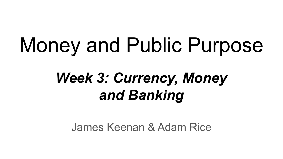# Money and Public Purpose

## *Week 3: Currency, Money and Banking*

James Keenan & Adam Rice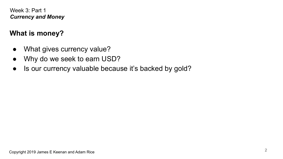## **What is money?**

- **●** What gives currency value?
- **●** Why do we seek to earn USD?
- **●** Is our currency valuable because it's backed by gold?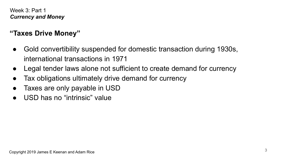## **"Taxes Drive Money"**

- **●** Gold convertibility suspended for domestic transaction during 1930s, international transactions in 1971
- Legal tender laws alone not sufficient to create demand for currency
- Tax obligations ultimately drive demand for currency
- Taxes are only payable in USD
- USD has no "intrinsic" value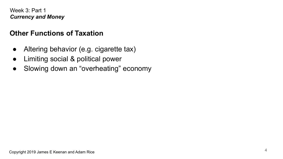## **Other Functions of Taxation**

- Altering behavior (e.g. cigarette tax)
- Limiting social & political power
- Slowing down an "overheating" economy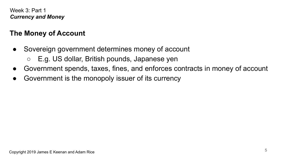## **The Money of Account**

- Sovereign government determines money of account
	- E.g. US dollar, British pounds, Japanese yen
- Government spends, taxes, fines, and enforces contracts in money of account
- Government is the monopoly issuer of its currency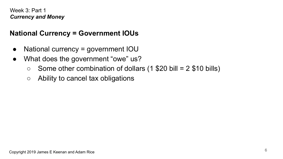## **National Currency = Government IOUs**

- National currency = government IOU
- What does the government "owe" us?
	- $\circ$  Some other combination of dollars (1 \$20 bill = 2 \$10 bills)
	- $\circ$  Ability to cancel tax obligations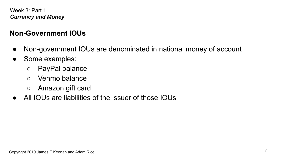## **Non-Government IOUs**

- Non-government IOUs are denominated in national money of account
- Some examples:
	- PayPal balance
	- Venmo balance
	- Amazon gift card
- All IOUs are liabilities of the issuer of those IOUs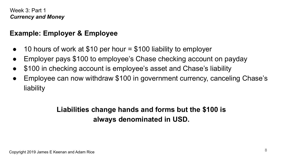#### **Example: Employer & Employee**

- 10 hours of work at \$10 per hour  $=$  \$100 liability to employer
- Employer pays \$100 to employee's Chase checking account on payday
- \$100 in checking account is employee's asset and Chase's liability
- Employee can now withdraw \$100 in government currency, canceling Chase's liability

## **Liabilities change hands and forms but the \$100 is always denominated in USD.**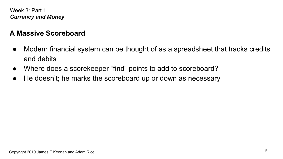## **A Massive Scoreboard**

- Modern financial system can be thought of as a spreadsheet that tracks credits and debits
- Where does a scorekeeper "find" points to add to scoreboard?
- He doesn't; he marks the scoreboard up or down as necessary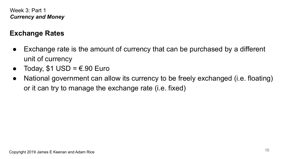## **Exchange Rates**

- Exchange rate is the amount of currency that can be purchased by a different unit of currency
- Today,  $$1$  USD =  $\epsilon$ .90 Euro
- National government can allow its currency to be freely exchanged (i.e. floating) or it can try to manage the exchange rate (i.e. fixed)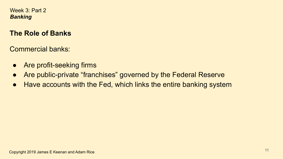#### **The Role of Banks**

Commercial banks:

- Are profit-seeking firms
- Are public-private "franchises" governed by the Federal Reserve
- Have accounts with the Fed, which links the entire banking system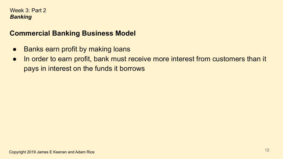#### **Commercial Banking Business Model**

- Banks earn profit by making loans
- In order to earn profit, bank must receive more interest from customers than it pays in interest on the funds it borrows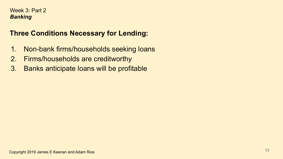## **Three Conditions Necessary for Lending:**

- 1. Non-bank firms/households seeking loans
- 2. Firms/households are creditworthy
- 3. Banks anticipate loans will be profitable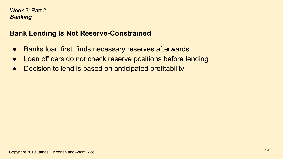## **Bank Lending Is Not Reserve-Constrained**

- Banks loan first, finds necessary reserves afterwards
- Loan officers do not check reserve positions before lending
- Decision to lend is based on anticipated profitability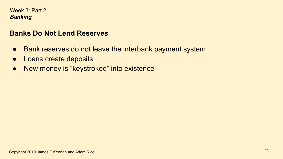#### **Banks Do Not Lend Reserves**

- Bank reserves do not leave the interbank payment system
- Loans create deposits
- New money is "keystroked" into existence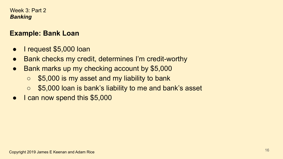#### **Example: Bank Loan**

- I request \$5,000 loan
- Bank checks my credit, determines I'm credit-worthy
- Bank marks up my checking account by \$5,000
	- \$5,000 is my asset and my liability to bank
	- \$5,000 loan is bank's liability to me and bank's asset
- I can now spend this \$5,000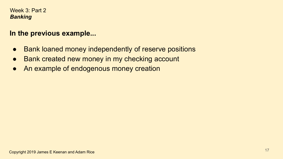#### **In the previous example...**

- Bank loaned money independently of reserve positions
- Bank created new money in my checking account
- An example of endogenous money creation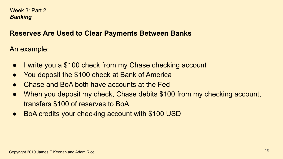#### **Reserves Are Used to Clear Payments Between Banks**

An example:

- I write you a \$100 check from my Chase checking account
- You deposit the \$100 check at Bank of America
- Chase and BoA both have accounts at the Fed
- When you deposit my check, Chase debits \$100 from my checking account, transfers \$100 of reserves to BoA
- BoA credits your checking account with \$100 USD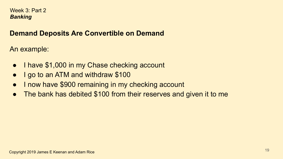## **Demand Deposits Are Convertible on Demand**

An example:

- I have \$1,000 in my Chase checking account
- I go to an ATM and withdraw \$100
- I now have \$900 remaining in my checking account
- The bank has debited \$100 from their reserves and given it to me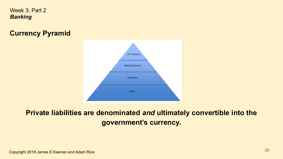## **Currency Pyramid**



## **Private liabilities are denominated** *and* **ultimately convertible into the government's currency.**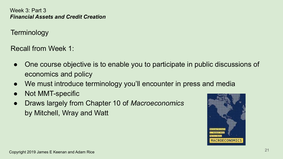**Terminology** 

Recall from Week 1:

- One course objective is to enable you to participate in public discussions of economics and policy
- We must introduce terminology you'll encounter in press and media
- Not MMT-specific
- Draws largely from Chapter 10 of *Macroeconomics* by Mitchell, Wray and Watt

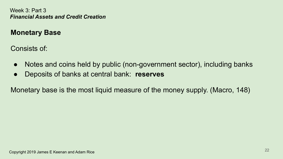## **Monetary Base**

Consists of:

- Notes and coins held by public (non-government sector), including banks
- Deposits of banks at central bank: **reserves**

Monetary base is the most liquid measure of the money supply. (Macro, 148)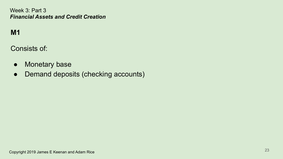## **M1**

Consists of:

- Monetary base
- Demand deposits (checking accounts)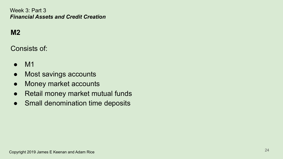## **M2**

Consists of:

- M1
- Most savings accounts
- Money market accounts
- Retail money market mutual funds
- Small denomination time deposits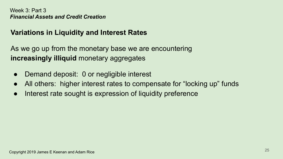#### **Variations in Liquidity and Interest Rates**

As we go up from the monetary base we are encountering **increasingly illiquid** monetary aggregates

- Demand deposit: 0 or negligible interest
- All others: higher interest rates to compensate for "locking up" funds
- Interest rate sought is expression of liquidity preference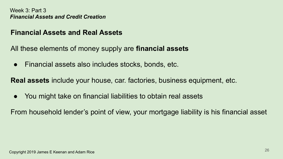#### **Financial Assets and Real Assets**

All these elements of money supply are **financial assets**

● Financial assets also includes stocks, bonds, etc.

**Real assets** include your house, car. factories, business equipment, etc.

● You might take on financial liabilities to obtain real assets

From household lender's point of view, your mortgage liability is his financial asset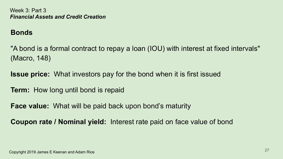#### **Bonds**

"A bond is a formal contract to repay a loan (IOU) with interest at fixed intervals" (Macro, 148)

**Issue price:** What investors pay for the bond when it is first issued

**Term:** How long until bond is repaid

**Face value:** What will be paid back upon bond's maturity

**Coupon rate / Nominal yield:** Interest rate paid on face value of bond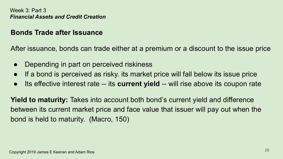#### **Bonds Trade after Issuance**

After issuance, bonds can trade either at a premium or a discount to the issue price

- Depending in part on perceived riskiness
- If a bond is perceived as risky, its market price will fall below its issue price
- Its effective interest rate -- its **current yield** -- will rise above its coupon rate

**Yield to maturity:** Takes into account both bond's current yield and difference between its current market price and face value that issuer will pay out when the bond is held to maturity. (Macro, 150)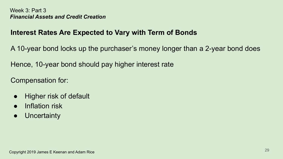## **Interest Rates Are Expected to Vary with Term of Bonds**

A 10-year bond locks up the purchaser's money longer than a 2-year bond does

Hence, 10-year bond should pay higher interest rate

Compensation for:

- Higher risk of default
- Inflation risk
- Uncertainty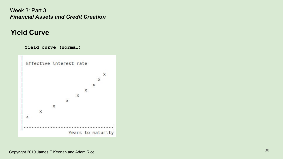#### **Yield Curve**

**Yield curve (normal)**

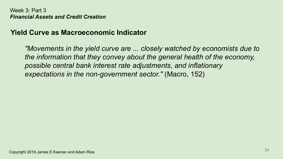#### **Yield Curve as Macroeconomic Indicator**

*"Movements in the yield curve are ... closely watched by economists due to the information that they convey about the general health of the economy, possible central bank interest rate adjustments, and inflationary expectations in the non-government sector."* (Macro, 152)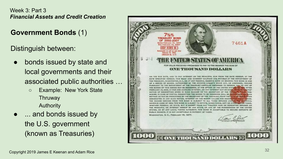#### **Government Bonds** (1)

Distinguish between:

- bonds issued by state and local governments and their associated public authorities …
	- Example: New York State Thruway Authority
- ... and bonds issued by the U.S. government (known as Treasuries)

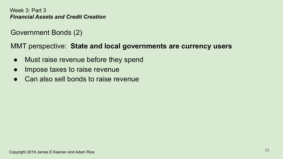Government Bonds (2)

MMT perspective: **State and local governments are currency users**

- Must raise revenue before they spend
- Impose taxes to raise revenue
- Can also sell bonds to raise revenue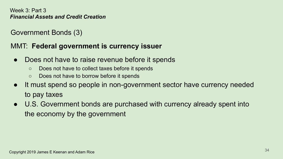## Government Bonds (3)

#### MMT: **Federal government is currency issuer**

- Does not have to raise revenue before it spends
	- Does not have to collect taxes before it spends
	- Does not have to borrow before it spends
- It must spend so people in non-government sector have currency needed to pay taxes
- U.S. Government bonds are purchased with currency already spent into the economy by the government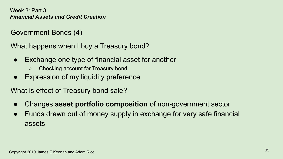Government Bonds (4)

What happens when I buy a Treasury bond?

- Exchange one type of financial asset for another
	- Checking account for Treasury bond
- Expression of my liquidity preference

What is effect of Treasury bond sale?

- Changes **asset portfolio composition** of non-government sector
- Funds drawn out of money supply in exchange for very safe financial assets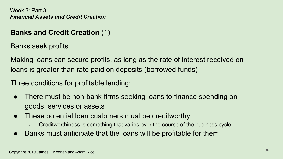## **Banks and Credit Creation** (1)

Banks seek profits

Making loans can secure profits, as long as the rate of interest received on loans is greater than rate paid on deposits (borrowed funds)

Three conditions for profitable lending:

- There must be non-bank firms seeking loans to finance spending on goods, services or assets
- These potential loan customers must be creditworthy
	- Creditworthiness is something that varies over the course of the business cycle
- Banks must anticipate that the loans will be profitable for them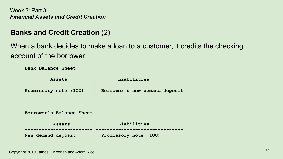#### **Banks and Credit Creation** (2)

When a bank decides to make a loan to a customer, it credits the checking account of the borrower

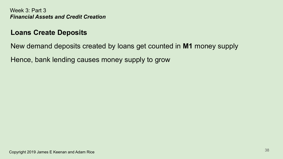#### **Loans Create Deposits**

New demand deposits created by loans get counted in **M1** money supply

Hence, bank lending causes money supply to grow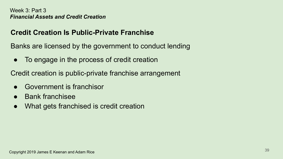## **Credit Creation Is Public-Private Franchise**

Banks are licensed by the government to conduct lending

• To engage in the process of credit creation

Credit creation is public-private franchise arrangement

- Government is franchisor
- **Bank franchisee**
- What gets franchised is credit creation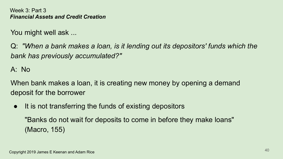You might well ask ...

Q: *"When a bank makes a loan, is it lending out its depositors' funds which the bank has previously accumulated?"*

A: No

When bank makes a loan, it is creating new money by opening a demand deposit for the borrower

● It is not transferring the funds of existing depositors "Banks do not wait for deposits to come in before they make loans" (Macro, 155)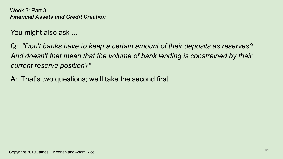You might also ask ...

Q: *"Don't banks have to keep a certain amount of their deposits as reserves? And doesn't that mean that the volume of bank lending is constrained by their current reserve position?"*

A: That's two questions; we'll take the second first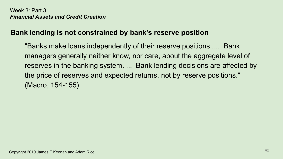#### **Bank lending is not constrained by bank's reserve position**

"Banks make loans independently of their reserve positions .... Bank managers generally neither know, nor care, about the aggregate level of reserves in the banking system. ... Bank lending decisions are affected by the price of reserves and expected returns, not by reserve positions." (Macro, 154-155)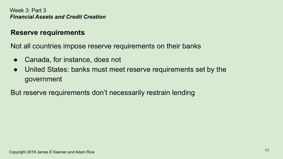#### **Reserve requirements**

Not all countries impose reserve requirements on their banks

- Canada, for instance, does not
- United States: banks must meet reserve requirements set by the government

But reserve requirements don't necessarily restrain lending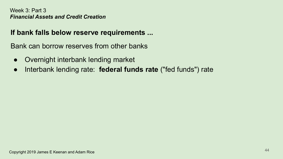#### **If bank falls below reserve requirements ...**

Bank can borrow reserves from other banks

- Overnight interbank lending market
- Interbank lending rate: **federal funds rate** ("fed funds") rate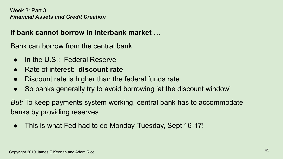#### **If bank cannot borrow in interbank market …**

Bank can borrow from the central bank

- In the  $US:$  Federal Reserve
- Rate of interest: **discount rate**
- Discount rate is higher than the federal funds rate
- So banks generally try to avoid borrowing 'at the discount window'

*But:* To keep payments system working, central bank has to accommodate banks by providing reserves

• This is what Fed had to do Monday-Tuesday, Sept 16-17!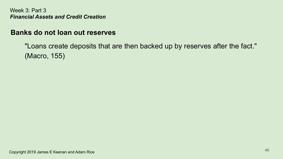#### **Banks do not loan out reserves**

"Loans create deposits that are then backed up by reserves after the fact." (Macro, 155)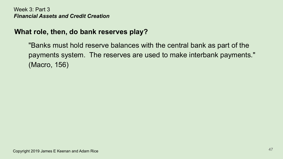## **What role, then, do bank reserves play?**

"Banks must hold reserve balances with the central bank as part of the payments system. The reserves are used to make interbank payments." (Macro, 156)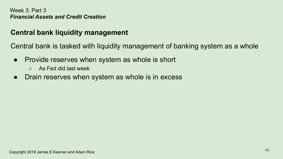#### **Central bank liquidity management**

Central bank is tasked with liquidity management of banking system as a whole

- Provide reserves when system as whole is short
	- As Fed did last week
- Drain reserves when system as whole is in excess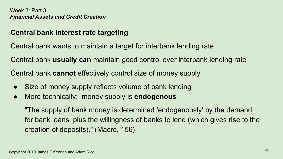## **Central bank interest rate targeting**

Central bank wants to maintain a target for interbank lending rate

Central bank **usually can** maintain good control over interbank lending rate

Central bank **cannot** effectively control size of money supply

- Size of money supply reflects volume of bank lending
- More technically: money supply is **endogenous**

"The supply of bank money is determined 'endogenously' by the demand for bank loans, plus the willingness of banks to lend (which gives rise to the creation of deposits)." (Macro, 156)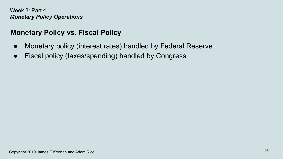## **Monetary Policy vs. Fiscal Policy**

- Monetary policy (interest rates) handled by Federal Reserve
- Fiscal policy (taxes/spending) handled by Congress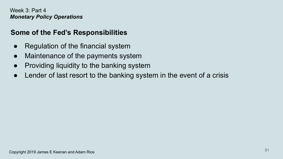## **Some of the Fed's Responsibilities**

- Regulation of the financial system
- Maintenance of the payments system
- Providing liquidity to the banking system
- Lender of last resort to the banking system in the event of a crisis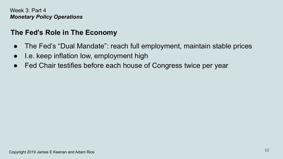## **The Fed's Role in The Economy**

- The Fed's "Dual Mandate": reach full employment, maintain stable prices
- I.e. keep inflation low, employment high
- Fed Chair testifies before each house of Congress twice per year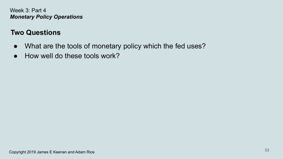## **Two Questions**

- What are the tools of monetary policy which the fed uses?
- How well do these tools work?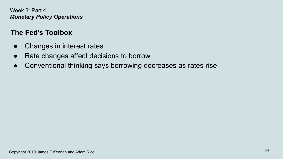## **The Fed's Toolbox**

- Changes in interest rates
- Rate changes affect decisions to borrow
- Conventional thinking says borrowing decreases as rates rise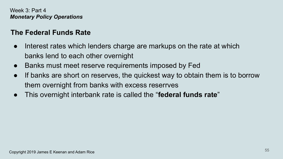## **The Federal Funds Rate**

- Interest rates which lenders charge are markups on the rate at which banks lend to each other overnight
- Banks must meet reserve requirements imposed by Fed
- If banks are short on reserves, the quickest way to obtain them is to borrow them overnight from banks with excess reserrves
- This overnight interbank rate is called the "**federal funds rate**"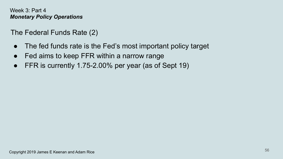The Federal Funds Rate (2)

- The fed funds rate is the Fed's most important policy target
- Fed aims to keep FFR within a narrow range
- FFR is currently 1.75-2.00% per year (as of Sept 19)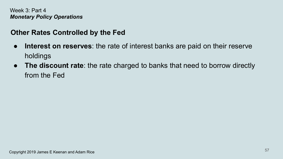## **Other Rates Controlled by the Fed**

- **Interest on reserves**: the rate of interest banks are paid on their reserve holdings
- **The discount rate**: the rate charged to banks that need to borrow directly from the Fed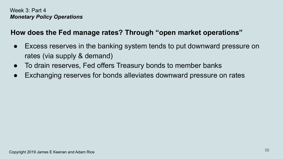## **How does the Fed manage rates? Through "open market operations"**

- Excess reserves in the banking system tends to put downward pressure on rates (via supply & demand)
- To drain reserves, Fed offers Treasury bonds to member banks
- Exchanging reserves for bonds alleviates downward pressure on rates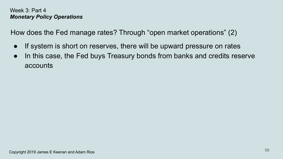How does the Fed manage rates? Through "open market operations" (2)

- If system is short on reserves, there will be upward pressure on rates
- In this case, the Fed buys Treasury bonds from banks and credits reserve accounts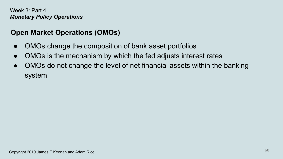## **Open Market Operations (OMOs)**

- OMOs change the composition of bank asset portfolios
- OMOs is the mechanism by which the fed adjusts interest rates
- OMOs do not change the level of net financial assets within the banking system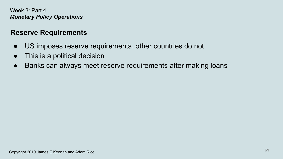#### **Reserve Requirements**

- US imposes reserve requirements, other countries do not
- This is a political decision
- Banks can always meet reserve requirements after making loans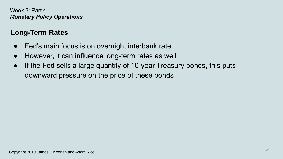## **Long-Term Rates**

- Fed's main focus is on overnight interbank rate
- However, it can influence long-term rates as well
- If the Fed sells a large quantity of 10-year Treasury bonds, this puts downward pressure on the price of these bonds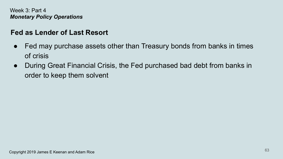#### **Fed as Lender of Last Resort**

- Fed may purchase assets other than Treasury bonds from banks in times of crisis
- During Great Financial Crisis, the Fed purchased bad debt from banks in order to keep them solvent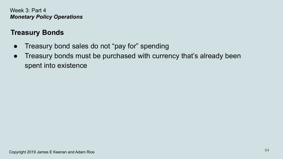## **Treasury Bonds**

- Treasury bond sales do not "pay for" spending
- Treasury bonds must be purchased with currency that's already been spent into existence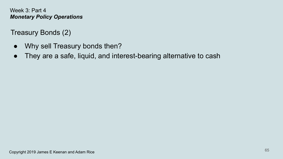Treasury Bonds (2)

- Why sell Treasury bonds then?
- They are a safe, liquid, and interest-bearing alternative to cash